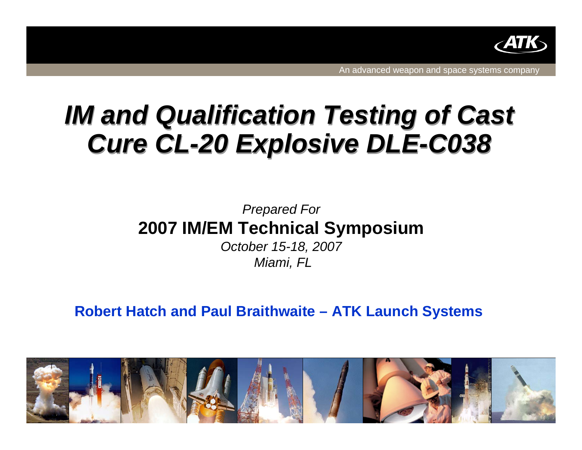

# *IM and Qualification Testing of Cast IM and Qualification Testing of Cast Cure CL-20 Explosive DLE-C038 Cure CL-20 Explosive DLE-C038*

### *Prepared For* **2007 IM/EM Technical Symposium**

*October 15-18, 2007 Miami, FL*

**Robert Hatch and Paul Braithwaite – ATK Launch Systems**

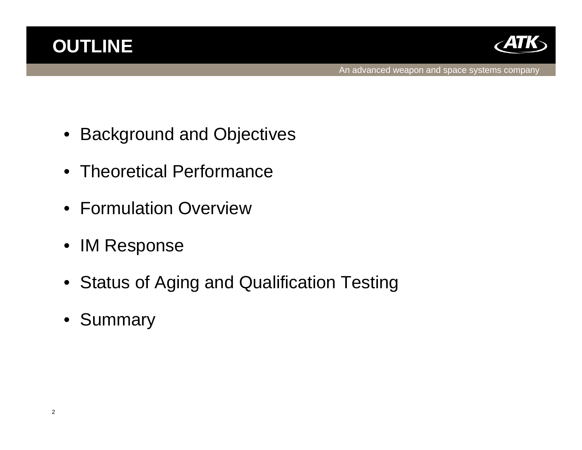



- Background and Objectives
- Theoretical Performance
- Formulation Overview
- IM Response
- Status of Aging and Qualification Testing
- Summary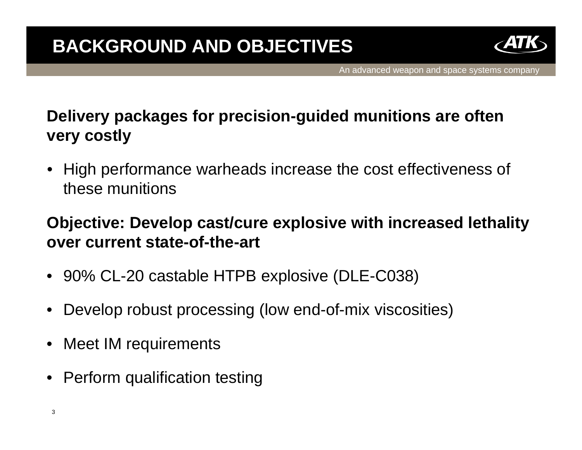

# **Delivery packages for precision-guided munitions are often very costly**

• High performance warheads increase the cost effectiveness of these munitions

### **Objective: Develop cast/cure explosive with increased lethality over current state-of-the-art**

- 90% CL-20 castable HTPB explosive (DLE-C038)
- Develop robust processing (low end-of-mix viscosities)
- Meet IM requirements
- Perform qualification testing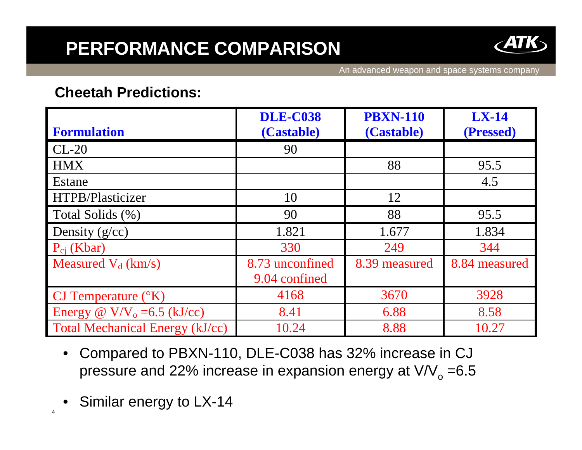# **PERFORMANCE COMPARISON**



An advanced weapon and space systems company

#### **Cheetah Predictions:**

| <b>Formulation</b>                     | <b>DLE-C038</b><br>(Castable) | <b>PBXN-110</b><br>(Castable) | <b>LX-14</b><br>(Pressed) |
|----------------------------------------|-------------------------------|-------------------------------|---------------------------|
| $CL-20$                                | 90                            |                               |                           |
| <b>HMX</b>                             |                               | 88                            | 95.5                      |
| Estane                                 |                               |                               | 4.5                       |
| HTPB/Plasticizer                       | 10                            | 12                            |                           |
| Total Solids (%)                       | 90                            | 88                            | 95.5                      |
| Density $(g/cc)$                       | 1.821                         | 1.677                         | 1.834                     |
| $P_{ci}$ (Kbar)                        | 330                           | 249                           | 344                       |
| Measured $V_d$ (km/s)                  | 8.73 unconfined               | 8.39 measured                 | 8.84 measured             |
|                                        | 9.04 confined                 |                               |                           |
| CJ Temperature $({}^{\circ}K)$         | 4168                          | 3670                          | 3928                      |
| Energy @ $V/V_0 = 6.5$ (kJ/cc)         | 8.41                          | 6.88                          | 8.58                      |
| <b>Total Mechanical Energy (kJ/cc)</b> | 10.24                         | 8.88                          | 10.27                     |

- Compared to PBXN-110, DLE-C038 has 32% increase in CJ pressure and 22% increase in expansion energy at  $V/V<sub>o</sub> = 6.5$
- Similar energy to LX-14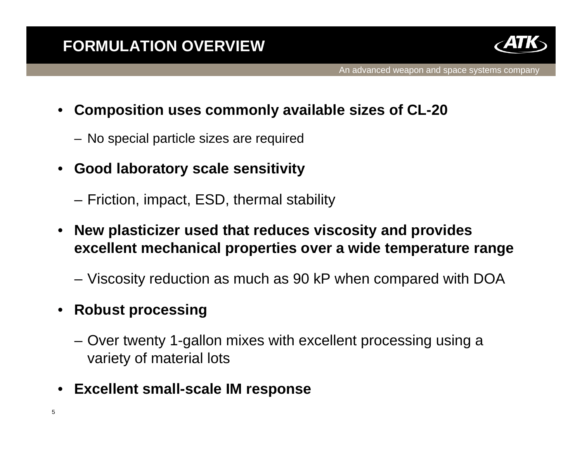

- **Composition uses commonly available sizes of CL-20**
	- No special particle sizes are required
- **Good laboratory scale sensitivity**
	- Friction, impact, ESD, thermal stability
- **New plasticizer used that reduces viscosity and provides excellent mechanical properties over a wide temperature range**
	- Viscosity reduction as much as 90 kP when compared with DOA
- **Robust processing**
	- Over twenty 1-gallon mixes with excellent processing using a variety of material lots
- **Excellent small-scale IM response**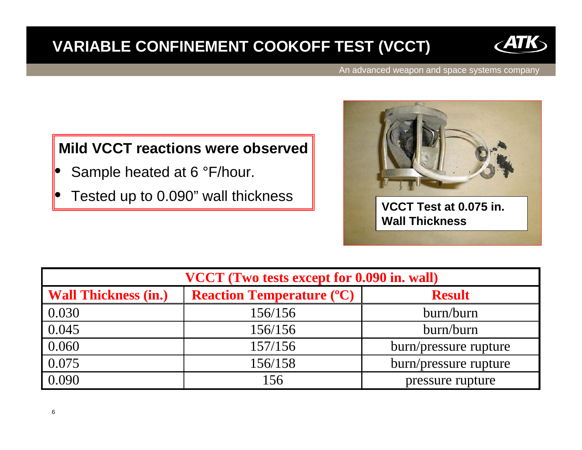### **VARIABLE CONFINEMENT COOKOFF TEST (VCCT)**



An advanced weapon and space systems company

### **Mild VCCT reactions were observed**

- Sample heated at 6 °F/hour.
- 



| VCCT (Two tests except for 0.090 in. wall) |                                  |                       |  |
|--------------------------------------------|----------------------------------|-----------------------|--|
| <b>Wall Thickness (in.)</b>                | <b>Reaction Temperature (°C)</b> | <b>Result</b>         |  |
| 0.030                                      | 156/156                          | burn/burn             |  |
| 0.045                                      | 156/156                          | burn/burn             |  |
| 0.060                                      | 157/156                          | burn/pressure rupture |  |
| 0.075                                      | 156/158                          | burn/pressure rupture |  |
| 0.090                                      | 156                              | pressure rupture      |  |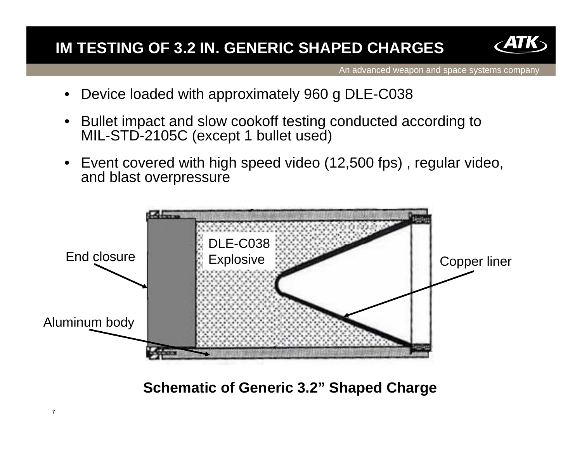### **IM TESTING OF 3.2 IN. GENERIC SHAPED CHARGES**



An advanced weapon and space systems company

- Device loaded with approximately 960 g DLE-C038
- Bullet impact and slow cookoff testing conducted according to MIL-STD-2105C (except 1 bullet used)
- Event covered with high speed video (12,500 fps) , regular video, and blast overpressure



**Schematic of Generic 3.2" Shaped Charge**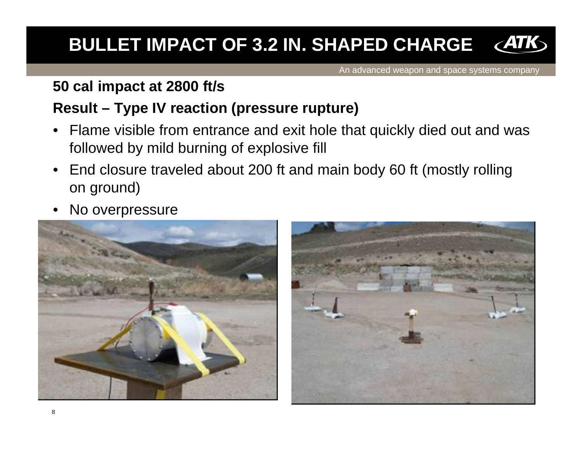#### $\epsilon$ ATK **BULLET IMPACT OF 3.2 IN. SHAPED CHARGE**

An advanced weapon and space systems company

#### **50 cal impact at 2800 ft/s**

### **Result – Type IV reaction (pressure rupture)**

- Flame visible from entrance and exit hole that quickly died out and was followed by mild burning of explosive fill
- End closure traveled about 200 ft and main body 60 ft (mostly rolling on ground)
- No overpressure



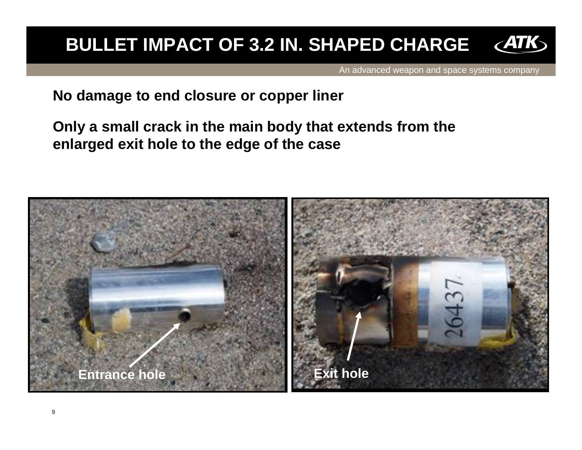# **BULLET IMPACT OF 3.2 IN. SHAPED CHARGE**

An advanced weapon and space systems company

**No damage to end closure or copper liner**

**Only a small crack in the main body that extends from the enlarged exit hole to the edge of the case**

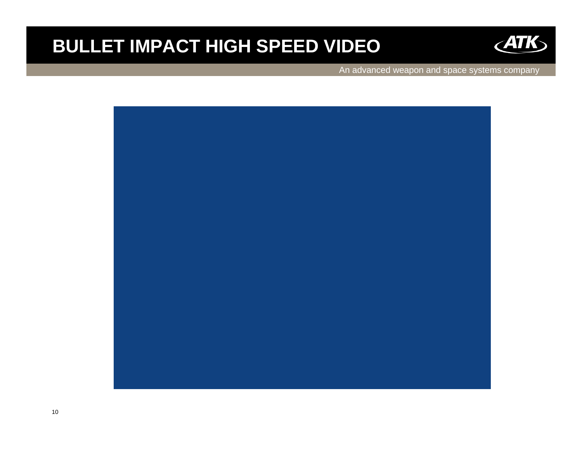# **BULLET IMPACT HIGH SPEED VIDEO**



An advanced weapon and space systems company

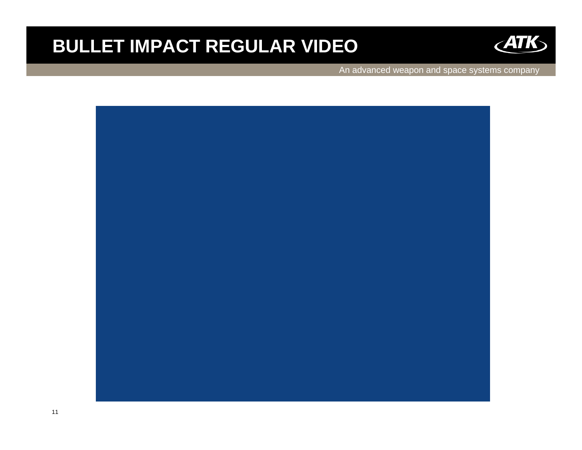# **BULLET IMPACT REGULAR VIDEO**



An advanced weapon and space systems company

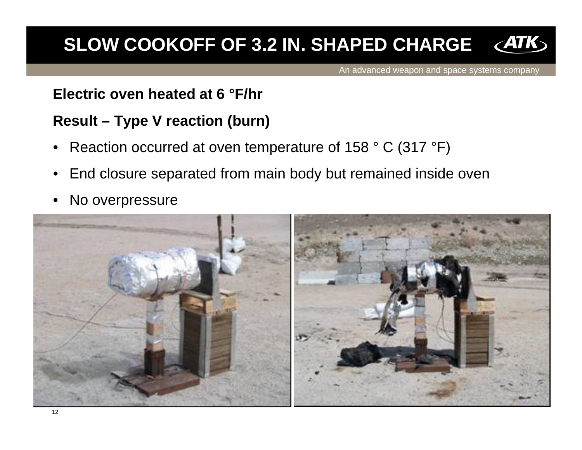# **SLOW COOKOFF OF 3.2 IN. SHAPED CHARGE**

An advanced weapon and space systems company

### **Electric oven heated at 6 °F/hr**

### **Result – Type V reaction (burn)**

- Reaction occurred at oven temperature of 158 ° C (317 °F)
- End closure separated from main body but remained inside oven
- No overpressure

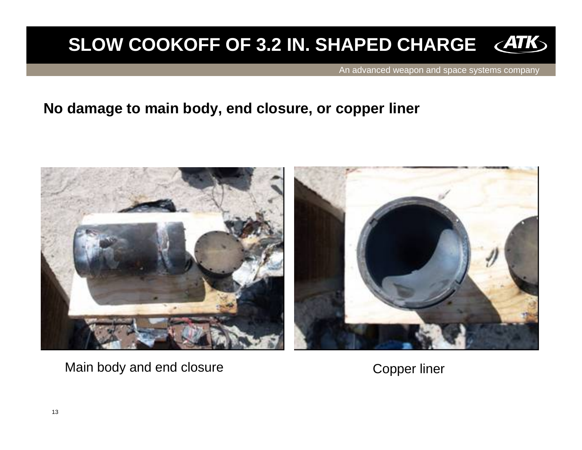# **SLOW COOKOFF OF 3.2 IN. SHAPED CHARGE**

An advanced weapon and space systems company

#### **No damage to main body, end closure, or copper liner**



Main body and end closure The Copper liner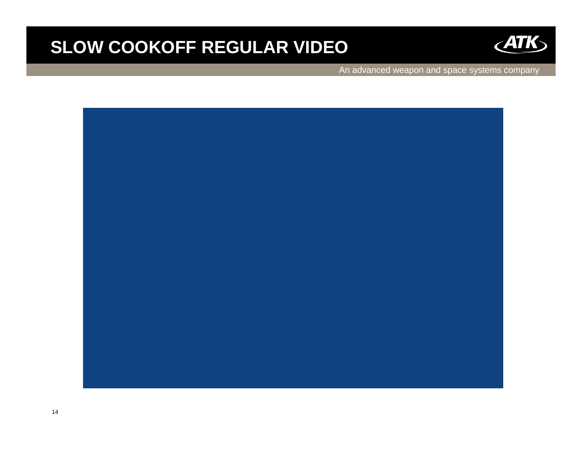### **SLOW COOKOFF REGULAR VIDEO**



An advanced weapon and space systems company

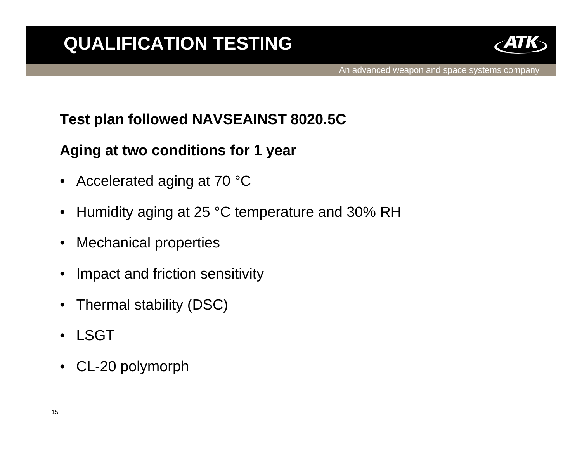

### **Test plan followed NAVSEAINST 8020.5C**

### **Aging at two conditions for 1 year**

- Accelerated aging at 70 °C
- Humidity aging at 25 °C temperature and 30% RH
- Mechanical properties
- Impact and friction sensitivity
- Thermal stability (DSC)
- LSGT
- CL-20 polymorph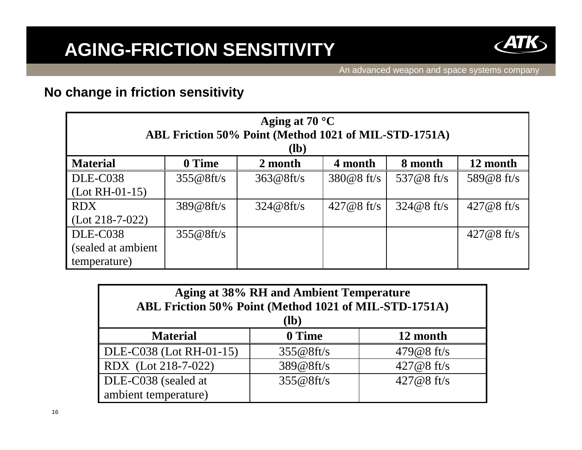

#### **No change in friction sensitivity**

| Aging at $70 °C$<br>ABL Friction 50% Point (Method 1021 of MIL-STD-1751A)<br>$(lb)$ |           |           |              |              |              |
|-------------------------------------------------------------------------------------|-----------|-----------|--------------|--------------|--------------|
| <b>Material</b>                                                                     | 0 Time    | 2 month   | 4 month      | 8 month      | 12 month     |
| DLE-C038                                                                            | 355@8ft/s | 363@8ft/s | $380@8$ ft/s | 537@8 ft/s   | 589@8 ft/s   |
| $(Lot RH-01-15)$                                                                    |           |           |              |              |              |
| <b>RDX</b>                                                                          | 389@8ft/s | 324@8ft/s | $427@8$ ft/s | $324@8$ ft/s | $427@8$ ft/s |
| $(Lot 218-7-022)$                                                                   |           |           |              |              |              |
| DLE-C038                                                                            | 355@8ft/s |           |              |              | $427@8$ ft/s |
| (sealed at ambient)                                                                 |           |           |              |              |              |
| temperature)                                                                        |           |           |              |              |              |

| <b>Aging at 38% RH and Ambient Temperature</b><br>ABL Friction 50% Point (Method 1021 of MIL-STD-1751A)<br><b>(lb)</b> |           |               |  |
|------------------------------------------------------------------------------------------------------------------------|-----------|---------------|--|
| <b>Material</b>                                                                                                        | 0 Time    | 12 month      |  |
| DLE-C038 (Lot RH-01-15)                                                                                                | 355@8ft/s | 479 $@8$ ft/s |  |
| RDX (Lot 218-7-022)                                                                                                    | 389@8ft/s | $427@8$ ft/s  |  |
| DLE-C038 (sealed at                                                                                                    | 355@8ft/s | $427@8$ ft/s  |  |
| ambient temperature)                                                                                                   |           |               |  |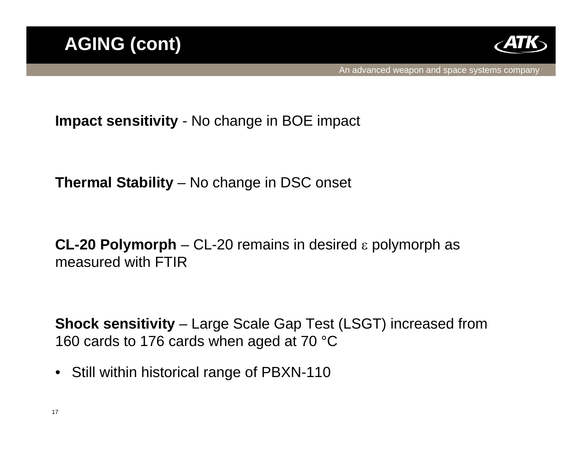

**Impact sensitivity** - No change in BOE impact

**Thermal Stability** – No change in DSC onset

**CL-20 Polymorph** – CL-20 remains in desired ε polymorph as measured with FTIR

**Shock sensitivity** – Large Scale Gap Test (LSGT) increased from 160 cards to 176 cards when aged at 70 °C

• Still within historical range of PBXN-110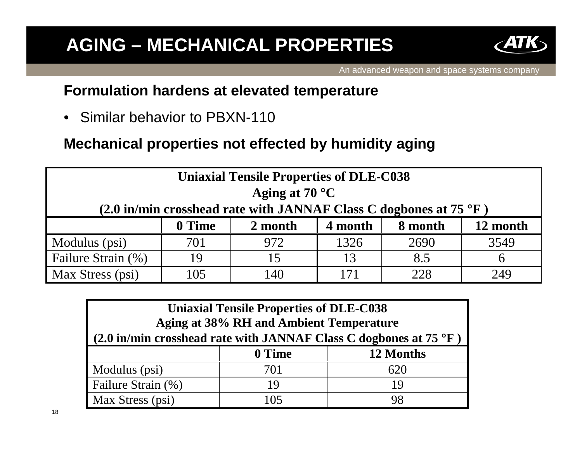# **AGING – MECHANICAL PROPERTIES**



### **Formulation hardens at elevated temperature**

• Similar behavior to PBXN-110

**Mechanical properties not effected by humidity aging**

| <b>Uniaxial Tensile Properties of DLE-C038</b>                                   |        |         |         |         |          |
|----------------------------------------------------------------------------------|--------|---------|---------|---------|----------|
| Aging at $70^{\circ}$ C                                                          |        |         |         |         |          |
| (2.0 in/min crosshead rate with JANNAF Class C dogbones at 75 $\rm{^{\circ}F}$ ) |        |         |         |         |          |
|                                                                                  | 0 Time | 2 month | 4 month | 8 month | 12 month |
| Modulus (psi)                                                                    | 701    | 972     | 1326    | 2690    | 3549     |
| Failure Strain (%)                                                               | 19     | 15      | 13      | 8.5     |          |
| Max Stress (psi)                                                                 | 105    | 140     | 171     | 228     | 249      |

| <b>Uniaxial Tensile Properties of DLE-C038</b><br><b>Aging at 38% RH and Ambient Temperature</b><br>$(2.0 \text{ in/min crosshead rate with JANNAF Class C dogbones at 75 °F})$ |        |           |  |
|---------------------------------------------------------------------------------------------------------------------------------------------------------------------------------|--------|-----------|--|
|                                                                                                                                                                                 | 0 Time | 12 Months |  |
| Modulus (psi)                                                                                                                                                                   | 701    | 620       |  |
| Failure Strain (%)                                                                                                                                                              | 19     | 19        |  |
| Max Stress (psi)                                                                                                                                                                | 105    | 98        |  |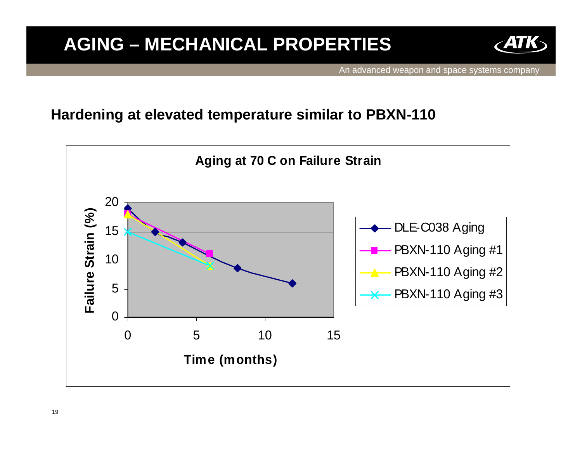# **AGING – MECHANICAL PROPERTIES**



An advanced weapon and space systems company

#### **Hardening at elevated temperature similar to PBXN-110**

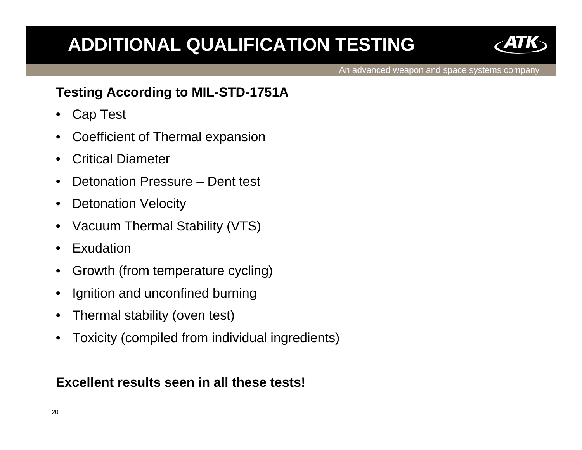# **ADDITIONAL QUALIFICATION TESTING**



An advanced weapon and space systems company

### **Testing According to MIL-STD-1751A**

- Cap Test
- Coefficient of Thermal expansion
- Critical Diameter
- Detonation Pressure Dent test
- Detonation Velocity
- Vacuum Thermal Stability (VTS)
- Exudation
- Growth (from temperature cycling)
- Ignition and unconfined burning
- Thermal stability (oven test)
- Toxicity (compiled from individual ingredients)

#### **Excellent results seen in all these tests!**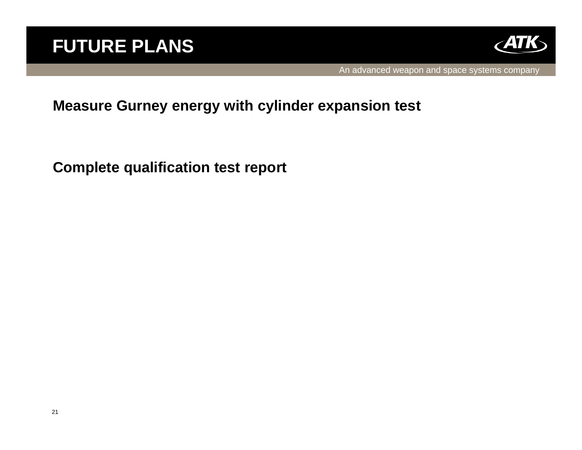

#### **Measure Gurney energy with cylinder expansion test**

**Complete qualification test report**